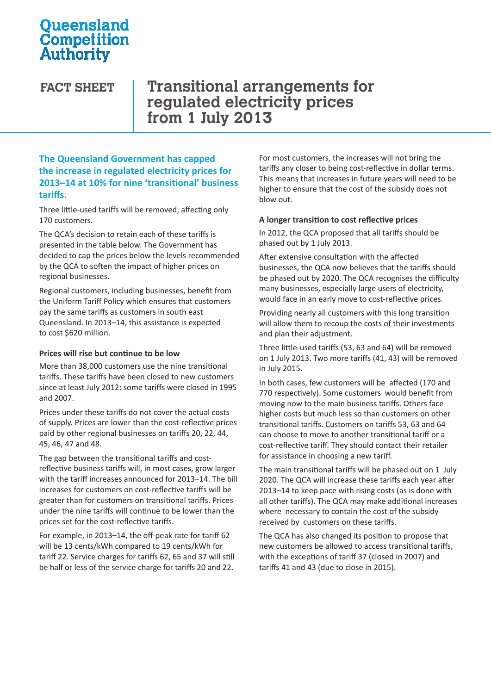# **Oueensland** Competition **Authority**

**FACT SHEET Transitional arrangements for regulated electricity prices from 1 July 2013**

### **The Queensland Government has capped the increase in regulated electricity prices for 2013–14 at 10% for nine 'transitional' business tariffs.**

Three little-used tariffs will be removed, affecting only 170 customers.

The QCA's decision to retain each of these tariffs is presented in the table below. The Government has decided to cap the prices below the levels recommended by the QCA to soften the impact of higher prices on regional businesses.

Regional customers, including businesses, benefit from the Uniform Tariff Policy which ensures that customers pay the same tariffs as customers in south east Queensland. In 2013–14, this assistance is expected to cost \$620 million.

#### **Prices will rise but continue to be low**

More than 38,000 customers use the nine transitional tariffs. These tariffs have been closed to new customers since at least July 2012: some tariffs were closed in 1995 and 2007.

Prices under these tariffs do not cover the actual costs of supply. Prices are lower than the cost-reflective prices paid by other regional businesses on tariffs 20, 22, 44, 45, 46, 47 and 48.

The gap between the transitional tariffs and costreflective business tariffs will, in most cases, grow larger with the tariff increases announced for 2013–14. The bill increases for customers on cost-reflective tariffs will be greater than for customers on transitional tariffs. Prices under the nine tariffs will continue to be lower than the prices set for the cost-reflective tariffs.

For example, in 2013–14, the off-peak rate for tariff 62 will be 13 cents/kWh compared to 19 cents/kWh for tariff 22. Service charges for tariffs 62, 65 and 37 will still be half or less of the service charge for tariffs 20 and 22.

For most customers, the increases will not bring the tariffs any closer to being cost-reflective in dollar terms. This means that increases in future years will need to be higher to ensure that the cost of the subsidy does not blow out.

#### **A longer transition to cost reflective prices**

In 2012, the QCA proposed that all tariffs should be phased out by 1 July 2013.

After extensive consultation with the affected businesses, the QCA now believes that the tariffs should be phased out by 2020. The QCA recognises the difficulty many businesses, especially large users of electricity, would face in an early move to cost-reflective prices.

Providing nearly all customers with this long transition will allow them to recoup the costs of their investments and plan their adjustment.

Three little-used tariffs (53, 63 and 64) will be removed on 1 July 2013. Two more tariffs (41, 43) will be removed in July 2015.

In both cases, few customers will be affected (170 and 770 respectively). Some customers would benefit from moving now to the main business tariffs. Others face higher costs but much less so than customers on other transitional tariffs. Customers on tariffs 53, 63 and 64 can choose to move to another transitional tariff or a cost-reflective tariff. They should contact their retailer for assistance in choosing a new tariff.

The main transitional tariffs will be phased out on 1 July 2020. The QCA will increase these tariffs each year after 2013–14 to keep pace with rising costs (as is done with all other tariffs). The QCA may make additional increases where necessary to contain the cost of the subsidy received by customers on these tariffs.

The QCA has also changed its position to propose that new customers be allowed to access transitional tariffs, with the exceptions of tariff 37 (closed in 2007) and tariffs 41 and 43 (due to close in 2015).